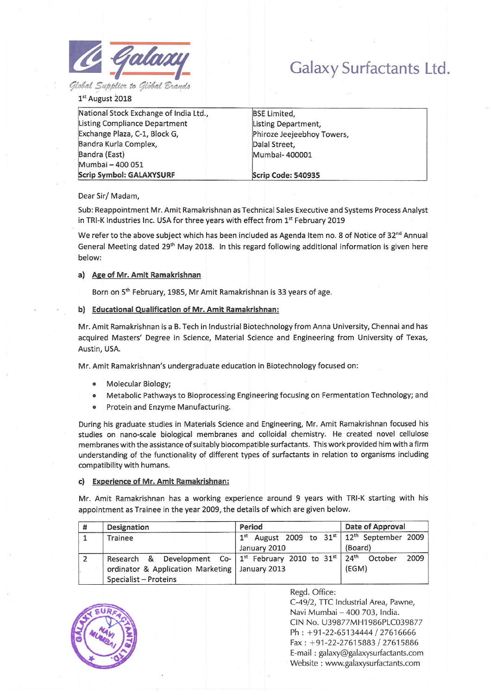

# Galaxy Surfactants Ltd.

1st August 2018

| National Stock Exchange of India Ltd., | <b>BSE Limited,</b>        |  |
|----------------------------------------|----------------------------|--|
| Listing Compliance Department          | Listing Department,        |  |
| Exchange Plaza, C-1, Block G,          | Phiroze Jeejeebhoy Towers, |  |
| Bandra Kurla Complex,                  | Dalal Street,              |  |
| Bandra (East)                          | Mumbai-400001              |  |
| Mumbai - 400 051                       |                            |  |
| <b>Scrip Symbol: GALAXYSURF</b>        | Scrip Code: 540935         |  |

Dear Sir/ Madam,

Sub: Reappointment Mr. Amit Ramakrishnan as Technical Sales Executive and Systems Process Analyst in TRI-K Industries Inc. USA for three years with effect from 1st February 2019

We refer to the above subject which has been included as Agenda Item no. 8 of Notice of 32<sup>nd</sup> Annual General Meeting dated 29" May 2018. In this regard following additional information is given here below:

# a) Age of Mr. Amit Ramakrishnan

Born on 5th February, 1985, Mr Amit Ramakrishnan is 33 years of age.

# b) Educational Qualification of Mr. Amit Ramakrishnan:

Mr. Amit Ramakrishnan is a B. Tech in Industrial Biotechnology from Anna University, Chennai and has **acquired Masters' Degree in Science, Material Science and Engineering from University of Texas,**  Austin, USA.

Mr. Amit Ramakrishnan's undergraduate education in Biotechnology focused on:

- Molecular Biology;
- Metabolic Pathways to Bioprocessing Engineering focusing on Fermentation Technology; and
- Protein and Enzyme Manufacturing.

During his graduate studies in Materials Science and Engineering, Mr. Amit Ramakrishnan focused his studies on nano-scale biological membranes and colloidal chemistry. He created novel cellulose membranes with the assistance of suitably biocompatible surfactants. This work provided him with a firm understanding of the functionality of different types of surfactants in relation to organisms including compatibility with humans.

## c) Experience of Mr. Amit Ramakrishnan:

Mr. Amit Ramakrishnan has a working experience around 9 years with TRI-K starting with his appointment as Trainee in the year 2009, the details of which are given below.

| ₩ | <b>Designation</b>                                                                      | Period                                                                       | Date of Approval         |
|---|-----------------------------------------------------------------------------------------|------------------------------------------------------------------------------|--------------------------|
|   | Trainee                                                                                 | $1^{st}$ August 2009 to $31^{st}$   $12^{th}$ September 2009<br>January 2010 | (Board)                  |
|   | Research &<br>ordinator & Application Marketing   January 2013<br>Specialist - Proteins | Development Co- $1^{st}$ February 2010 to 31 <sup>st</sup> 24 <sup>th</sup>  | 2009<br>October<br>(EGM) |



Regd. Office:

C-49/2, TIC Industrial Area, Pawne, Navi Mumbai - 400 703, India. ClN No. U39877MH1986PLC039877 Ph : +91-22-65134444 / 27616666 Fax: + 91-22-27615883/ 27615886 E-mail: galaxy@galaxysurfactants.com Website : www.galaxysurfactants.com